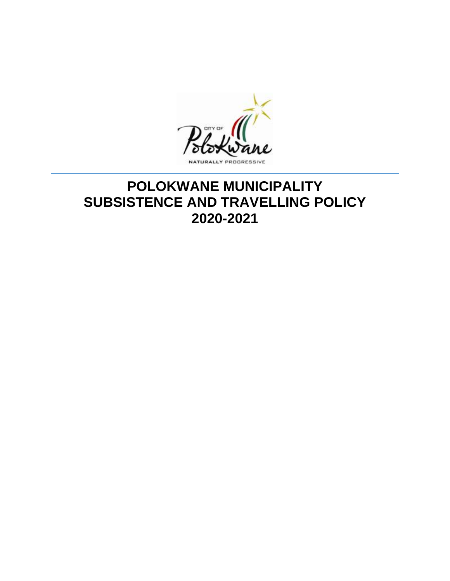

# **POLOKWANE MUNICIPALITY SUBSISTENCE AND TRAVELLING POLICY 2020-2021**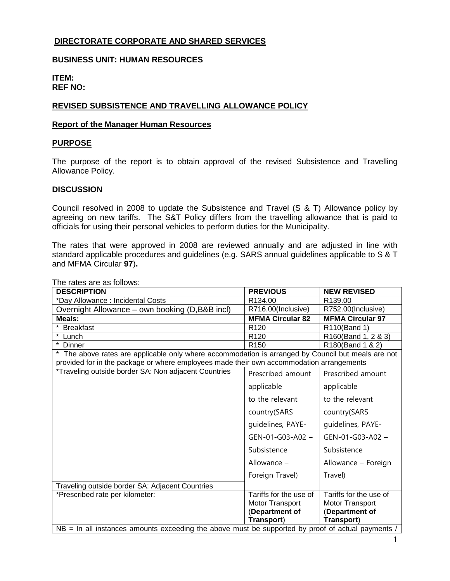## **DIRECTORATE CORPORATE AND SHARED SERVICES**

## **BUSINESS UNIT: HUMAN RESOURCES**

#### **ITEM: REF NO:**

#### **REVISED SUBSISTENCE AND TRAVELLING ALLOWANCE POLICY**

#### **Report of the Manager Human Resources**

#### **PURPOSE**

The purpose of the report is to obtain approval of the revised Subsistence and Travelling Allowance Policy.

#### **DISCUSSION**

Council resolved in 2008 to update the Subsistence and Travel (S & T) Allowance policy by agreeing on new tariffs. The S&T Policy differs from the travelling allowance that is paid to officials for using their personal vehicles to perform duties for the Municipality.

The rates that were approved in 2008 are reviewed annually and are adjusted in line with standard applicable procedures and guidelines (e.g. SARS annual guidelines applicable to S & T and MFMA Circular **97**)**.**

The rates are as follows: **DESCRIPTION PREVIOUS** NEW REVISED \*Day Allowance : Incidental Costs **R134.00** R134.00 R139.00 Overnight Allowance – own booking (D,B&B incl) | R716.00(Inclusive) | R752.00(Inclusive) **Meals: MFMA Circular 82 MFMA Circular 97** \* Breakfast **R120** R110(Band 1) \* Lunch R120 R160(Band 1, 2 & 3) **Dinner** R150 R150 R180(Band 1 & 2) \* The above rates are applicable only where accommodation is arranged by Council but meals are not provided for in the package or where employees made their own accommodation arrangements \*Traveling outside border SA: Non adjacent Countries | Prescribed amount applicable to the relevant country(SARS guidelines, PAYE-GEN-01-G03-A02 – Subsistence Allowance – Foreign Travel) Prescribed amount applicable to the relevant country(SARS guidelines, PAYE-GEN-01-G03-A02 – Subsistence Allowance – Foreign Travel) Traveling outside border SA: Adjacent Countries \*Prescribed rate per kilometer: Tariffs for the use of Motor Transport (**Department of Transport**) Tariffs for the use of Motor Transport (**Department of Transport**)  $NB = In$  all instances amounts exceeding the above must be supported by proof of actual payments  $\overline{a}$ 

1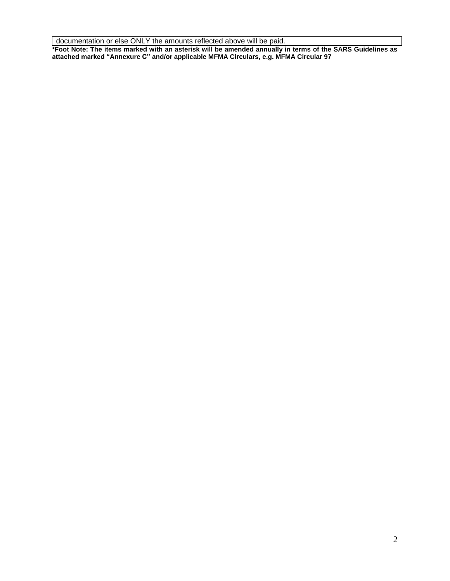documentation or else ONLY the amounts reflected above will be paid.

**\*Foot Note: The items marked with an asterisk will be amended annually in terms of the SARS Guidelines as attached marked "Annexure C" and/or applicable MFMA Circulars, e.g. MFMA Circular 97**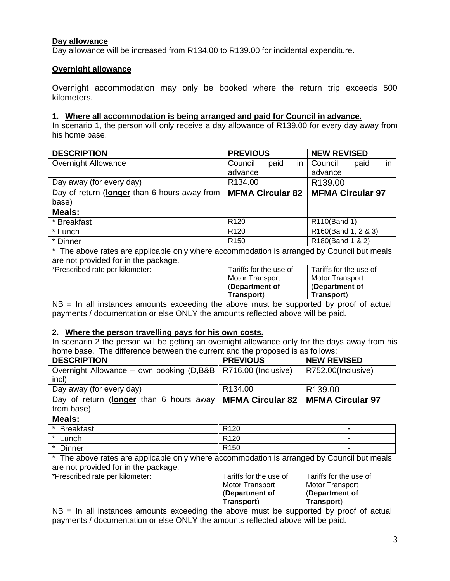## **Day allowance**

Day allowance will be increased from R134.00 to R139.00 for incidental expenditure.

## **Overnight allowance**

Overnight accommodation may only be booked where the return trip exceeds 500 kilometers.

## **1. Where all accommodation is being arranged and paid for Council in advance.**

In scenario 1, the person will only receive a day allowance of R139.00 for every day away from his home base.

| <b>DESCRIPTION</b>                                                                         | <b>PREVIOUS</b>         | <b>NEW REVISED</b>      |
|--------------------------------------------------------------------------------------------|-------------------------|-------------------------|
| <b>Overnight Allowance</b>                                                                 | Council<br>paid<br>in   | in<br>Council<br>paid   |
|                                                                                            | advance                 | advance                 |
| Day away (for every day)                                                                   | R134.00                 | R139.00                 |
| Day of return (longer than 6 hours away from                                               | <b>MFMA Circular 82</b> | <b>MFMA Circular 97</b> |
| base)                                                                                      |                         |                         |
| Meals:                                                                                     |                         |                         |
| * Breakfast                                                                                | R <sub>120</sub>        | R110(Band 1)            |
| * Lunch                                                                                    | R <sub>120</sub>        | R160(Band 1, 2 & 3)     |
| * Dinner                                                                                   | R <sub>150</sub>        | R180(Band 1 & 2)        |
| * The above rates are applicable only where accommodation is arranged by Council but meals |                         |                         |
| are not provided for in the package.                                                       |                         |                         |
| *Prescribed rate per kilometer:                                                            | Tariffs for the use of  | Tariffs for the use of  |
|                                                                                            | Motor Transport         | <b>Motor Transport</b>  |
|                                                                                            | (Department of          | (Department of          |
|                                                                                            | Transport)              | Transport)              |
| $NB = In$ all instances amounts exceeding the above must be supported by proof of actual   |                         |                         |
| payments / documentation or else ONLY the amounts reflected above will be paid.            |                         |                         |

#### **2. Where the person travelling pays for his own costs.**

In scenario 2 the person will be getting an overnight allowance only for the days away from his home base. The difference between the current and the proposed is as follows:

| <b>DESCRIPTION</b>                                                                         | <b>PREVIOUS</b>         | <b>NEW REVISED</b>      |
|--------------------------------------------------------------------------------------------|-------------------------|-------------------------|
| Overnight Allowance - own booking (D,B&B                                                   | R716.00 (Inclusive)     | R752.00(Inclusive)      |
| incl)                                                                                      |                         |                         |
| Day away (for every day)                                                                   | R134.00                 | R <sub>139.00</sub>     |
| Day of return (longer than 6 hours away                                                    | <b>MFMA Circular 82</b> | <b>MFMA Circular 97</b> |
| from base)                                                                                 |                         |                         |
| Meals:                                                                                     |                         |                         |
| * Breakfast                                                                                | R <sub>120</sub>        |                         |
| * Lunch                                                                                    | R <sub>120</sub>        | -                       |
| * Dinner                                                                                   | R <sub>150</sub>        |                         |
| * The above rates are applicable only where accommodation is arranged by Council but meals |                         |                         |
| are not provided for in the package.                                                       |                         |                         |
| *Prescribed rate per kilometer:                                                            | Tariffs for the use of  | Tariffs for the use of  |
|                                                                                            | Motor Transport         | Motor Transport         |
|                                                                                            | (Department of          | (Department of          |
|                                                                                            | Transport)              | Transport)              |
| $NB = In$ all instances amounts exceeding the above must be supported by proof of actual   |                         |                         |
| payments / documentation or else ONLY the amounts reflected above will be paid.            |                         |                         |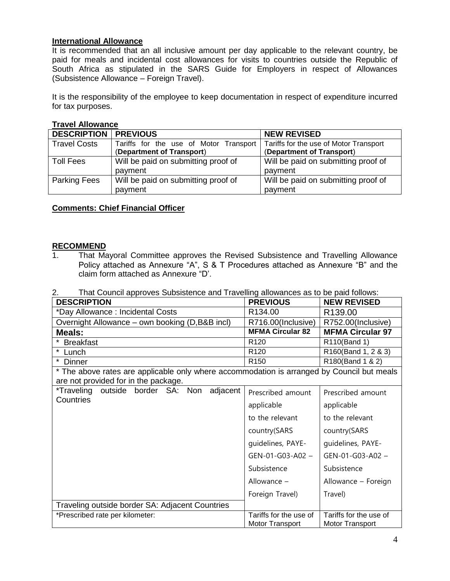#### **International Allowance**

It is recommended that an all inclusive amount per day applicable to the relevant country, be paid for meals and incidental cost allowances for visits to countries outside the Republic of South Africa as stipulated in the SARS Guide for Employers in respect of Allowances (Subsistence Allowance – Foreign Travel).

It is the responsibility of the employee to keep documentation in respect of expenditure incurred for tax purposes.

#### **Travel Allowance**

| <b>DESCRIPTION   PREVIOUS</b> |                                        | <b>NEW REVISED</b>                     |
|-------------------------------|----------------------------------------|----------------------------------------|
| <b>Travel Costs</b>           | Tariffs for the use of Motor Transport | Tariffs for the use of Motor Transport |
|                               | (Department of Transport)              | (Department of Transport)              |
| <b>Toll Fees</b>              | Will be paid on submitting proof of    | Will be paid on submitting proof of    |
|                               | payment                                | payment                                |
| <b>Parking Fees</b>           | Will be paid on submitting proof of    | Will be paid on submitting proof of    |
|                               | payment                                | payment                                |

## **Comments: Chief Financial Officer**

#### **RECOMMEND**

- 1. That Mayoral Committee approves the Revised Subsistence and Travelling Allowance Policy attached as Annexure "A", S & T Procedures attached as Annexure "B" and the claim form attached as Annexure "D'.
- 2. That Council approves Subsistence and Travelling allowances as to be paid follows:

| <b>DESCRIPTION</b>                                                                         | <b>PREVIOUS</b>                           | <b>NEW REVISED</b>                        |
|--------------------------------------------------------------------------------------------|-------------------------------------------|-------------------------------------------|
| *Day Allowance: Incidental Costs                                                           | R134.00                                   | R <sub>139.00</sub>                       |
| Overnight Allowance – own booking (D,B&B incl)                                             | R716.00(Inclusive)                        | R752.00(Inclusive)                        |
| Meals:                                                                                     | <b>MFMA Circular 82</b>                   | <b>MFMA Circular 97</b>                   |
| *<br><b>Breakfast</b>                                                                      | R <sub>120</sub>                          | R110(Band 1)                              |
| * Lunch                                                                                    | R <sub>120</sub>                          | R160(Band 1, 2 & 3)                       |
| $\star$<br>Dinner                                                                          | R <sub>150</sub>                          | R180(Band 1 & 2)                          |
| * The above rates are applicable only where accommodation is arranged by Council but meals |                                           |                                           |
| are not provided for in the package.                                                       |                                           |                                           |
| *Traveling<br>outside<br>border SA: Non<br>adjacent                                        | Prescribed amount                         | Prescribed amount                         |
| Countries                                                                                  | applicable                                | applicable                                |
|                                                                                            | to the relevant                           | to the relevant                           |
|                                                                                            | country(SARS                              | country(SARS                              |
|                                                                                            | quidelines, PAYE-                         | guidelines, PAYE-                         |
|                                                                                            | GEN-01-G03-A02 -                          | GEN-01-G03-A02 -                          |
|                                                                                            | Subsistence                               | Subsistence                               |
|                                                                                            | Allowance $-$                             | Allowance - Foreign                       |
|                                                                                            | Foreign Travel)                           | Travel)                                   |
| Traveling outside border SA: Adjacent Countries                                            |                                           |                                           |
| *Prescribed rate per kilometer:                                                            | Tariffs for the use of<br>Motor Transport | Tariffs for the use of<br>Motor Transport |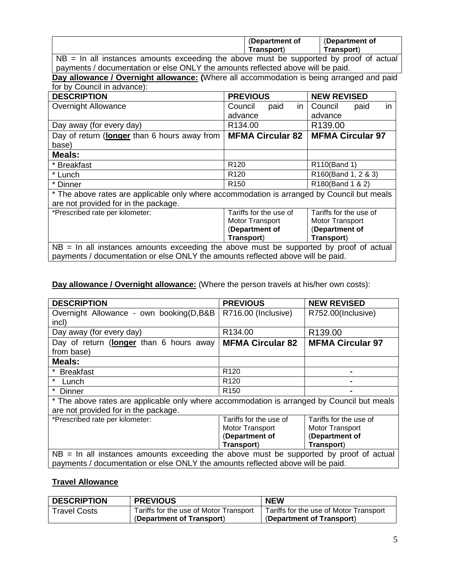| (Department of | (Department of   |
|----------------|------------------|
| ˈransport)     | <b>Fransport</b> |
|                |                  |

NB = In all instances amounts exceeding the above must be supported by proof of actual payments / documentation or else ONLY the amounts reflected above will be paid.

**Day allowance / Overnight allowance: (**Where all accommodation is being arranged and paid for by Council in advance):

| <b>DESCRIPTION</b>                                                                         | <b>PREVIOUS</b>         | <b>NEW REVISED</b>      |
|--------------------------------------------------------------------------------------------|-------------------------|-------------------------|
| Overnight Allowance                                                                        | paid<br>Council<br>in.  | in<br>Council<br>paid   |
|                                                                                            | advance                 | advance                 |
| Day away (for every day)                                                                   | R134.00                 | R <sub>139.00</sub>     |
| Day of return (longer than 6 hours away from                                               | <b>MFMA Circular 82</b> | <b>MFMA Circular 97</b> |
| base)                                                                                      |                         |                         |
| Meals:                                                                                     |                         |                         |
| * Breakfast                                                                                | R <sub>120</sub>        | R110(Band 1)            |
| * Lunch                                                                                    | R <sub>120</sub>        | R160(Band 1, 2 & 3)     |
| * Dinner                                                                                   | R <sub>150</sub>        | R180(Band 1 & 2)        |
| * The above rates are applicable only where accommodation is arranged by Council but meals |                         |                         |
| are not provided for in the package.                                                       |                         |                         |
| *Prescribed rate per kilometer:                                                            | Tariffs for the use of  | Tariffs for the use of  |
|                                                                                            | Motor Transport         | Motor Transport         |
|                                                                                            | (Department of          | (Department of          |
|                                                                                            | Transport)              | Transport)              |
| $NB = In$ all instances amounts exceeding the above must be supported by proof of actual   |                         |                         |
| payments / documentation or else ONLY the amounts reflected above will be paid.            |                         |                         |

# **Day allowance / Overnight allowance:** (Where the person travels at his/her own costs):

| <b>DESCRIPTION</b>                                                                         | <b>PREVIOUS</b>         | <b>NEW REVISED</b>      |
|--------------------------------------------------------------------------------------------|-------------------------|-------------------------|
| Overnight Allowance - own booking(D,B&B                                                    | R716.00 (Inclusive)     | R752.00(Inclusive)      |
| incl)                                                                                      |                         |                         |
| Day away (for every day)                                                                   | R134.00                 | R139.00                 |
| Day of return (longer than 6 hours away                                                    | <b>MFMA Circular 82</b> | <b>MFMA Circular 97</b> |
| from base)                                                                                 |                         |                         |
| Meals:                                                                                     |                         |                         |
| * Breakfast                                                                                | R <sub>120</sub>        | $\blacksquare$          |
| $\star$<br>Lunch                                                                           | R <sub>120</sub>        | -                       |
| $\star$<br>Dinner                                                                          | R <sub>150</sub>        |                         |
| * The above rates are applicable only where accommodation is arranged by Council but meals |                         |                         |
| are not provided for in the package.                                                       |                         |                         |
| *Prescribed rate per kilometer:                                                            | Tariffs for the use of  | Tariffs for the use of  |
|                                                                                            | Motor Transport         | Motor Transport         |
|                                                                                            | (Department of          | (Department of          |
|                                                                                            | Transport)              | Transport)              |
| $NB = In$ all instances amounts exceeding the above must be supported by proof of actual   |                         |                         |
| payments / documentation or else ONLY the amounts reflected above will be paid.            |                         |                         |

## **Travel Allowance**

| <b>DESCRIPTION</b>  | <b>PREVIOUS</b>                        | <b>NEW</b>                             |
|---------------------|----------------------------------------|----------------------------------------|
| <b>Travel Costs</b> | Tariffs for the use of Motor Transport | Tariffs for the use of Motor Transport |
|                     | (Department of Transport)              | (Department of Transport)              |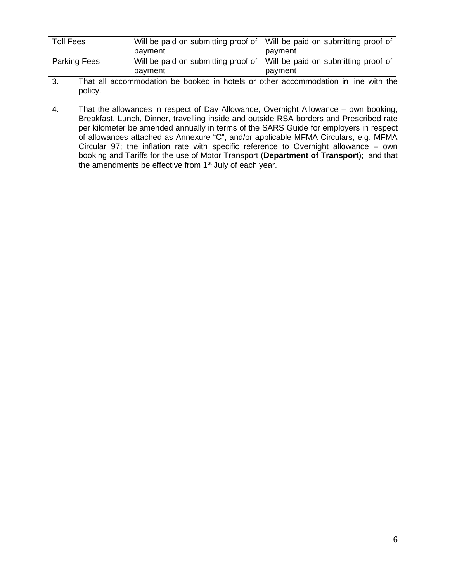| <b>Toll Fees</b>    | Will be paid on submitting proof of<br>payment   | Will be paid on submitting proof of<br>payment |
|---------------------|--------------------------------------------------|------------------------------------------------|
| <b>Parking Fees</b> | Will be paid on submitting proof of  <br>payment | Will be paid on submitting proof of<br>payment |
| $\sim$              |                                                  | .                                              |

3. That all accommodation be booked in hotels or other accommodation in line with the policy.

4. That the allowances in respect of Day Allowance, Overnight Allowance – own booking, Breakfast, Lunch, Dinner, travelling inside and outside RSA borders and Prescribed rate per kilometer be amended annually in terms of the SARS Guide for employers in respect of allowances attached as Annexure "C", and/or applicable MFMA Circulars, e.g. MFMA Circular 97; the inflation rate with specific reference to Overnight allowance – own booking and Tariffs for the use of Motor Transport (**Department of Transport**); and that the amendments be effective from 1<sup>st</sup> July of each year.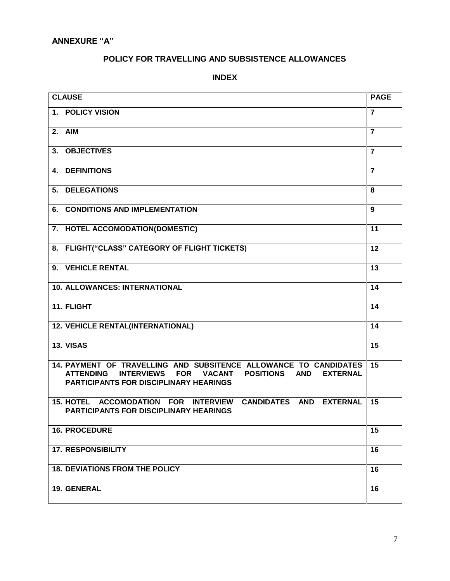# **POLICY FOR TRAVELLING AND SUBSISTENCE ALLOWANCES**

## **INDEX**

| <b>CLAUSE</b>                                                                                                                                                                                                                                  | <b>PAGE</b>    |
|------------------------------------------------------------------------------------------------------------------------------------------------------------------------------------------------------------------------------------------------|----------------|
| <b>POLICY VISION</b><br>1.                                                                                                                                                                                                                     | $\overline{7}$ |
| 2. AIM                                                                                                                                                                                                                                         | $\overline{7}$ |
| <b>OBJECTIVES</b><br>3.                                                                                                                                                                                                                        | $\overline{7}$ |
| <b>DEFINITIONS</b><br>4.                                                                                                                                                                                                                       | $\overline{7}$ |
| <b>DELEGATIONS</b><br>5.                                                                                                                                                                                                                       | 8              |
| <b>CONDITIONS AND IMPLEMENTATION</b><br>6.                                                                                                                                                                                                     | 9              |
| 7. HOTEL ACCOMODATION(DOMESTIC)                                                                                                                                                                                                                | 11             |
| FLIGHT("CLASS" CATEGORY OF FLIGHT TICKETS)<br>8.                                                                                                                                                                                               | 12             |
| <b>VEHICLE RENTAL</b><br>9.                                                                                                                                                                                                                    | 13             |
| 10. ALLOWANCES: INTERNATIONAL                                                                                                                                                                                                                  | 14             |
| 11. FLIGHT                                                                                                                                                                                                                                     | 14             |
| <b>12. VEHICLE RENTAL(INTERNATIONAL)</b>                                                                                                                                                                                                       | 14             |
| 13. VISAS                                                                                                                                                                                                                                      | 15             |
| 14. PAYMENT OF TRAVELLING AND SUBSITENCE ALLOWANCE TO CANDIDATES<br><b>ATTENDING</b><br><b>INTERVIEWS</b><br><b>FOR</b><br><b>VACANT</b><br><b>POSITIONS</b><br><b>AND</b><br><b>EXTERNAL</b><br><b>PARTICIPANTS FOR DISCIPLINARY HEARINGS</b> | 15             |
| 15. HOTEL ACCOMODATION FOR INTERVIEW<br><b>CANDIDATES AND</b><br><b>EXTERNAL</b><br><b>PARTICIPANTS FOR DISCIPLINARY HEARINGS</b>                                                                                                              | 15             |
| <b>16. PROCEDURE</b>                                                                                                                                                                                                                           | 15             |
| <b>17. RESPONSIBILITY</b>                                                                                                                                                                                                                      | 16             |
| <b>18. DEVIATIONS FROM THE POLICY</b>                                                                                                                                                                                                          | 16             |
| 19. GENERAL                                                                                                                                                                                                                                    | 16             |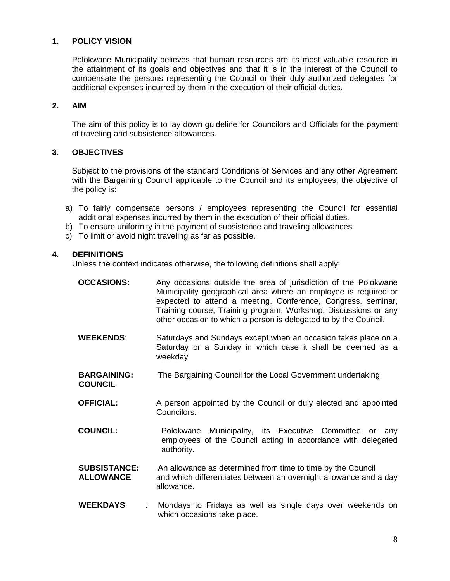## **1. POLICY VISION**

Polokwane Municipality believes that human resources are its most valuable resource in the attainment of its goals and objectives and that it is in the interest of the Council to compensate the persons representing the Council or their duly authorized delegates for additional expenses incurred by them in the execution of their official duties.

## **2. AIM**

The aim of this policy is to lay down guideline for Councilors and Officials for the payment of traveling and subsistence allowances.

## **3. OBJECTIVES**

Subject to the provisions of the standard Conditions of Services and any other Agreement with the Bargaining Council applicable to the Council and its employees, the objective of the policy is:

- a) To fairly compensate persons / employees representing the Council for essential additional expenses incurred by them in the execution of their official duties.
- b) To ensure uniformity in the payment of subsistence and traveling allowances.
- c) To limit or avoid night traveling as far as possible.

#### **4. DEFINITIONS**

Unless the context indicates otherwise, the following definitions shall apply:

| <b>OCCASIONS:</b>                       | Any occasions outside the area of jurisdiction of the Polokwane<br>Municipality geographical area where an employee is required or<br>expected to attend a meeting, Conference, Congress, seminar,<br>Training course, Training program, Workshop, Discussions or any<br>other occasion to which a person is delegated to by the Council. |
|-----------------------------------------|-------------------------------------------------------------------------------------------------------------------------------------------------------------------------------------------------------------------------------------------------------------------------------------------------------------------------------------------|
| <b>WEEKENDS:</b>                        | Saturdays and Sundays except when an occasion takes place on a<br>Saturday or a Sunday in which case it shall be deemed as a<br>weekday                                                                                                                                                                                                   |
| <b>BARGAINING:</b><br><b>COUNCIL</b>    | The Bargaining Council for the Local Government undertaking                                                                                                                                                                                                                                                                               |
| <b>OFFICIAL:</b>                        | A person appointed by the Council or duly elected and appointed<br>Councilors.                                                                                                                                                                                                                                                            |
| <b>COUNCIL:</b>                         | Polokwane Municipality, its Executive Committee or<br>anv<br>employees of the Council acting in accordance with delegated<br>authority.                                                                                                                                                                                                   |
| <b>SUBSISTANCE:</b><br><b>ALLOWANCE</b> | An allowance as determined from time to time by the Council<br>and which differentiates between an overnight allowance and a day<br>allowance.                                                                                                                                                                                            |
| <b>WEEKDAYS</b><br>t.                   | Mondays to Fridays as well as single days over weekends on<br>which occasions take place.                                                                                                                                                                                                                                                 |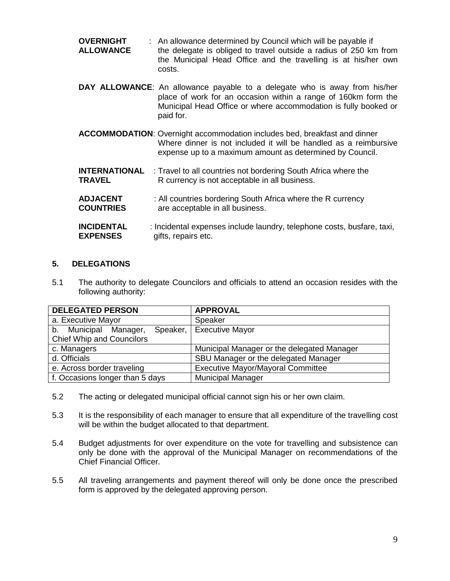| <b>OVERNIGHT</b> | : An allowance determined by Council which will be payable if     |
|------------------|-------------------------------------------------------------------|
| <b>ALLOWANCE</b> | the delegate is obliged to travel outside a radius of 250 km from |
|                  | the Municipal Head Office and the travelling is at his/her own    |
|                  | costs.                                                            |

- **DAY ALLOWANCE**: An allowance payable to a delegate who is away from his/her place of work for an occasion within a range of 160km form the Municipal Head Office or where accommodation is fully booked or paid for.
- **ACCOMMODATION**: Overnight accommodation includes bed, breakfast and dinner Where dinner is not included it will be handled as a reimbursive expense up to a maximum amount as determined by Council.
- **INTERNATIONAL** : Travel to all countries not bordering South Africa where the **TRAVEL** R currency is not acceptable in all business.
- **ADJACENT** : All countries bordering South Africa where the R currency **COUNTRIES** are acceptable in all business.
- **INCIDENTAL** : Incidental expenses include laundry, telephone costs, busfare, taxi, **EXPENSES** gifts, repairs etc.

## **5. DELEGATIONS**

5.1 The authority to delegate Councilors and officials to attend an occasion resides with the following authority:

| <b>DELEGATED PERSON</b>             | <b>APPROVAL</b>                            |
|-------------------------------------|--------------------------------------------|
| a. Executive Mayor                  | Speaker                                    |
| Speaker, I<br>b. Municipal Manager, | <b>Executive Mayor</b>                     |
| <b>Chief Whip and Councilors</b>    |                                            |
| c. Managers                         | Municipal Manager or the delegated Manager |
| d. Officials                        | SBU Manager or the delegated Manager       |
| e. Across border traveling          | <b>Executive Mayor/Mayoral Committee</b>   |
| f. Occasions longer than 5 days     | <b>Municipal Manager</b>                   |

- 5.2 The acting or delegated municipal official cannot sign his or her own claim.
- 5.3 It is the responsibility of each manager to ensure that all expenditure of the travelling cost will be within the budget allocated to that department.
- 5.4 Budget adjustments for over expenditure on the vote for travelling and subsistence can only be done with the approval of the Municipal Manager on recommendations of the Chief Financial Officer.
- 5.5 All traveling arrangements and payment thereof will only be done once the prescribed form is approved by the delegated approving person.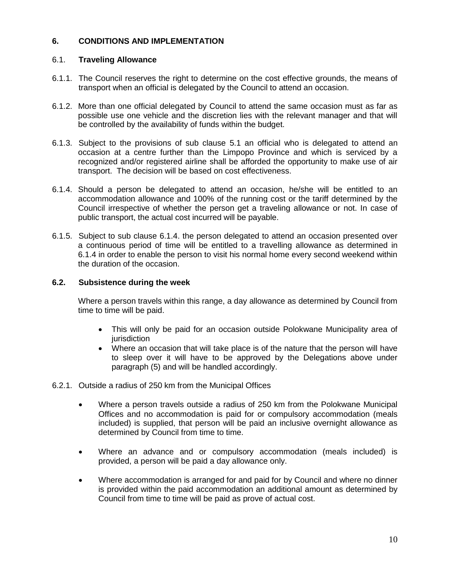## **6. CONDITIONS AND IMPLEMENTATION**

## 6.1. **Traveling Allowance**

- 6.1.1. The Council reserves the right to determine on the cost effective grounds, the means of transport when an official is delegated by the Council to attend an occasion.
- 6.1.2. More than one official delegated by Council to attend the same occasion must as far as possible use one vehicle and the discretion lies with the relevant manager and that will be controlled by the availability of funds within the budget.
- 6.1.3. Subject to the provisions of sub clause 5.1 an official who is delegated to attend an occasion at a centre further than the Limpopo Province and which is serviced by a recognized and/or registered airline shall be afforded the opportunity to make use of air transport. The decision will be based on cost effectiveness.
- 6.1.4. Should a person be delegated to attend an occasion, he/she will be entitled to an accommodation allowance and 100% of the running cost or the tariff determined by the Council irrespective of whether the person get a traveling allowance or not. In case of public transport, the actual cost incurred will be payable.
- 6.1.5. Subject to sub clause 6.1.4. the person delegated to attend an occasion presented over a continuous period of time will be entitled to a travelling allowance as determined in 6.1.4 in order to enable the person to visit his normal home every second weekend within the duration of the occasion.

## **6.2. Subsistence during the week**

Where a person travels within this range, a day allowance as determined by Council from time to time will be paid.

- This will only be paid for an occasion outside Polokwane Municipality area of jurisdiction
- Where an occasion that will take place is of the nature that the person will have to sleep over it will have to be approved by the Delegations above under paragraph (5) and will be handled accordingly.
- 6.2.1. Outside a radius of 250 km from the Municipal Offices
	- Where a person travels outside a radius of 250 km from the Polokwane Municipal Offices and no accommodation is paid for or compulsory accommodation (meals included) is supplied, that person will be paid an inclusive overnight allowance as determined by Council from time to time.
	- Where an advance and or compulsory accommodation (meals included) is provided, a person will be paid a day allowance only.
	- Where accommodation is arranged for and paid for by Council and where no dinner is provided within the paid accommodation an additional amount as determined by Council from time to time will be paid as prove of actual cost.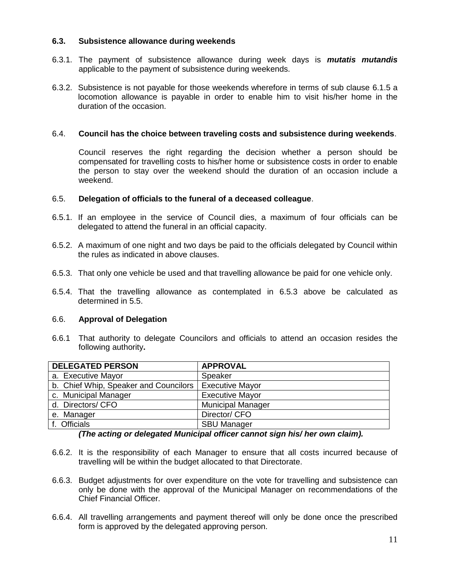## **6.3. Subsistence allowance during weekends**

- 6.3.1. The payment of subsistence allowance during week days is *mutatis mutandis* applicable to the payment of subsistence during weekends.
- 6.3.2. Subsistence is not payable for those weekends wherefore in terms of sub clause 6.1.5 a locomotion allowance is payable in order to enable him to visit his/her home in the duration of the occasion.

#### 6.4. **Council has the choice between traveling costs and subsistence during weekends**.

Council reserves the right regarding the decision whether a person should be compensated for travelling costs to his/her home or subsistence costs in order to enable the person to stay over the weekend should the duration of an occasion include a weekend.

#### 6.5. **Delegation of officials to the funeral of a deceased colleague**.

- 6.5.1. If an employee in the service of Council dies, a maximum of four officials can be delegated to attend the funeral in an official capacity.
- 6.5.2. A maximum of one night and two days be paid to the officials delegated by Council within the rules as indicated in above clauses.
- 6.5.3. That only one vehicle be used and that travelling allowance be paid for one vehicle only.
- 6.5.4. That the travelling allowance as contemplated in 6.5.3 above be calculated as determined in 5.5.

#### 6.6. **Approval of Delegation**

6.6.1 That authority to delegate Councilors and officials to attend an occasion resides the following authority**.**

| <b>DELEGATED PERSON</b>                                 | <b>APPROVAL</b>          |
|---------------------------------------------------------|--------------------------|
| a. Executive Mayor                                      | Speaker                  |
| b. Chief Whip, Speaker and Councilors   Executive Mayor |                          |
| c. Municipal Manager                                    | <b>Executive Mayor</b>   |
| d. Directors/ CFO                                       | <b>Municipal Manager</b> |
| e. Manager                                              | Director/ CFO            |
| f. Officials                                            | <b>SBU Manager</b>       |

#### *(The acting or delegated Municipal officer cannot sign his/ her own claim).*

- 6.6.2. It is the responsibility of each Manager to ensure that all costs incurred because of travelling will be within the budget allocated to that Directorate.
- 6.6.3. Budget adjustments for over expenditure on the vote for travelling and subsistence can only be done with the approval of the Municipal Manager on recommendations of the Chief Financial Officer.
- 6.6.4. All travelling arrangements and payment thereof will only be done once the prescribed form is approved by the delegated approving person.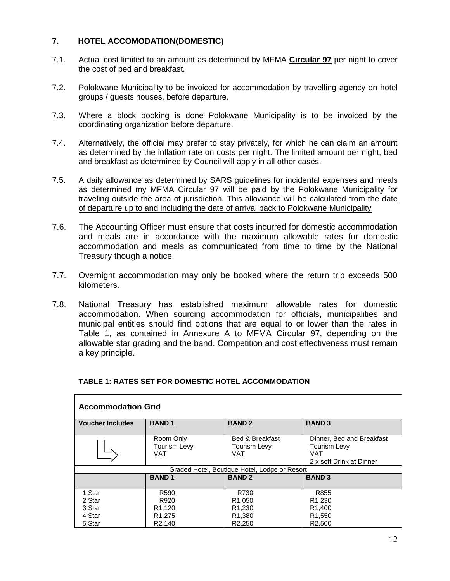## **7. HOTEL ACCOMODATION(DOMESTIC)**

- 7.1. Actual cost limited to an amount as determined by MFMA **Circular 97** per night to cover the cost of bed and breakfast.
- 7.2. Polokwane Municipality to be invoiced for accommodation by travelling agency on hotel groups / guests houses, before departure.
- 7.3. Where a block booking is done Polokwane Municipality is to be invoiced by the coordinating organization before departure.
- 7.4. Alternatively, the official may prefer to stay privately, for which he can claim an amount as determined by the inflation rate on costs per night. The limited amount per night, bed and breakfast as determined by Council will apply in all other cases.
- 7.5. A daily allowance as determined by SARS guidelines for incidental expenses and meals as determined my MFMA Circular 97 will be paid by the Polokwane Municipality for traveling outside the area of jurisdiction. This allowance will be calculated from the date of departure up to and including the date of arrival back to Polokwane Municipality
- 7.6. The Accounting Officer must ensure that costs incurred for domestic accommodation and meals are in accordance with the maximum allowable rates for domestic accommodation and meals as communicated from time to time by the National Treasury though a notice.
- 7.7. Overnight accommodation may only be booked where the return trip exceeds 500 kilometers.
- 7.8. National Treasury has established maximum allowable rates for domestic accommodation. When sourcing accommodation for officials, municipalities and municipal entities should find options that are equal to or lower than the rates in Table 1, as contained in Annexure A to MFMA Circular 97, depending on the allowable star grading and the band. Competition and cost effectiveness must remain a key principle.

| <b>Accommodation Grid</b>                     |                                  |                                                                 |                                                                                     |  |  |
|-----------------------------------------------|----------------------------------|-----------------------------------------------------------------|-------------------------------------------------------------------------------------|--|--|
| <b>Voucher Includes</b>                       | <b>BAND1</b>                     | <b>BAND 2</b>                                                   | <b>BAND 3</b>                                                                       |  |  |
|                                               | Room Only<br>Tourism Levy<br>VAT | <b>Bed &amp; Breakfast</b><br><b>Tourism Levy</b><br><b>VAT</b> | Dinner, Bed and Breakfast<br>Tourism Levy<br><b>VAT</b><br>2 x soft Drink at Dinner |  |  |
| Graded Hotel, Boutique Hotel, Lodge or Resort |                                  |                                                                 |                                                                                     |  |  |
|                                               | <b>BAND1</b>                     | <b>BAND 2</b>                                                   | <b>BAND 3</b>                                                                       |  |  |
| 1 Star<br>2 Star                              | R <sub>590</sub><br>R920         | R730<br>R <sub>1</sub> 050                                      | R855<br>R <sub>1</sub> 230                                                          |  |  |
| 3 Star                                        | R <sub>1.120</sub>               | R <sub>1.230</sub>                                              | R <sub>1.400</sub>                                                                  |  |  |
| 4 Star                                        | R <sub>1</sub> ,275              | R <sub>1</sub> ,380                                             | R <sub>1</sub> ,550                                                                 |  |  |
| 5 Star                                        | R <sub>2.140</sub>               | R <sub>2.250</sub>                                              | R <sub>2.500</sub>                                                                  |  |  |

## **TABLE 1: RATES SET FOR DOMESTIC HOTEL ACCOMMODATION**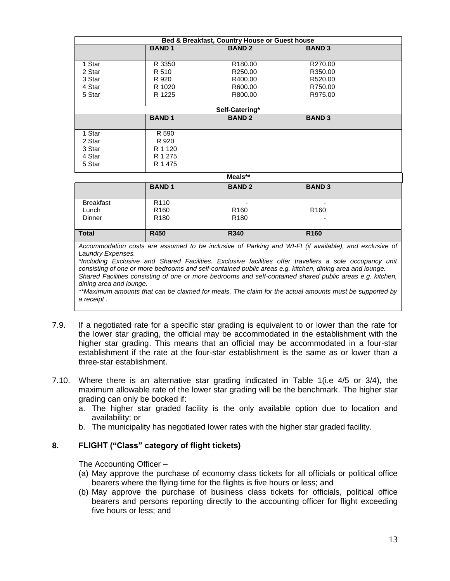| Bed & Breakfast, Country House or Guest house                                                             |                  |                     |                  |  |  |  |
|-----------------------------------------------------------------------------------------------------------|------------------|---------------------|------------------|--|--|--|
|                                                                                                           | <b>BAND1</b>     | <b>BAND2</b>        | <b>BAND 3</b>    |  |  |  |
|                                                                                                           |                  |                     |                  |  |  |  |
| 1 Star                                                                                                    | R 3350           | R <sub>180.00</sub> | R270.00          |  |  |  |
| 2 Star                                                                                                    | R 510            | R250.00             | R350.00          |  |  |  |
| 3 Star                                                                                                    | R 920            | R400.00             | R520.00          |  |  |  |
| 4 Star                                                                                                    | R 1020           | R600.00             | R750.00          |  |  |  |
| 5 Star                                                                                                    | R 1225           | R800.00             | R975.00          |  |  |  |
| Self-Catering*                                                                                            |                  |                     |                  |  |  |  |
|                                                                                                           | <b>BAND1</b>     | <b>BAND2</b>        | <b>BAND 3</b>    |  |  |  |
|                                                                                                           |                  |                     |                  |  |  |  |
| 1 Star                                                                                                    | R 590            |                     |                  |  |  |  |
| 2 Star                                                                                                    | R 920            |                     |                  |  |  |  |
| 3 Star                                                                                                    | R 1 1 2 0        |                     |                  |  |  |  |
| 4 Star                                                                                                    | R 1 275          |                     |                  |  |  |  |
| 5 Star                                                                                                    | R 1 475          |                     |                  |  |  |  |
| Meals**                                                                                                   |                  |                     |                  |  |  |  |
|                                                                                                           | <b>BAND1</b>     | <b>BAND2</b>        | <b>BAND 3</b>    |  |  |  |
|                                                                                                           |                  |                     |                  |  |  |  |
| <b>Breakfast</b>                                                                                          | R <sub>110</sub> |                     |                  |  |  |  |
| Lunch                                                                                                     | R <sub>160</sub> | R <sub>160</sub>    | R <sub>160</sub> |  |  |  |
| <b>Dinner</b>                                                                                             | R <sub>180</sub> | R <sub>180</sub>    |                  |  |  |  |
| <b>Total</b>                                                                                              | R450             | <b>R340</b>         | R <sub>160</sub> |  |  |  |
|                                                                                                           |                  |                     |                  |  |  |  |
| Accommodation costs are assumed to be inclusive of Parking and WI-FI (if available), and exclusive of     |                  |                     |                  |  |  |  |
| Laundry Expenses.                                                                                         |                  |                     |                  |  |  |  |
| *Including Exclusive and Shared Facilities. Exclusive facilities offer travellers a sole occupancy unit   |                  |                     |                  |  |  |  |
| consisting of one or more bedrooms and self-contained public areas e.g. kitchen, dining area and lounge.  |                  |                     |                  |  |  |  |
| Shared Facilities consisting of one or more bedrooms and self-contained shared public areas e.g. kitchen, |                  |                     |                  |  |  |  |

*dining area and lounge. \*\*Maximum amounts that can be claimed for meals. The claim for the actual amounts must be supported by a receipt .* 

- 7.9. If a negotiated rate for a specific star grading is equivalent to or lower than the rate for the lower star grading, the official may be accommodated in the establishment with the higher star grading. This means that an official may be accommodated in a four-star establishment if the rate at the four-star establishment is the same as or lower than a three-star establishment.
- 7.10. Where there is an alternative star grading indicated in Table 1(i.e 4/5 or 3/4), the maximum allowable rate of the lower star grading will be the benchmark. The higher star grading can only be booked if:
	- a. The higher star graded facility is the only available option due to location and availability; or
	- b. The municipality has negotiated lower rates with the higher star graded facility.

## **8. FLIGHT ("Class" category of flight tickets)**

The Accounting Officer –

- (a) May approve the purchase of economy class tickets for all officials or political office bearers where the flying time for the flights is five hours or less; and
- (b) May approve the purchase of business class tickets for officials, political office bearers and persons reporting directly to the accounting officer for flight exceeding five hours or less; and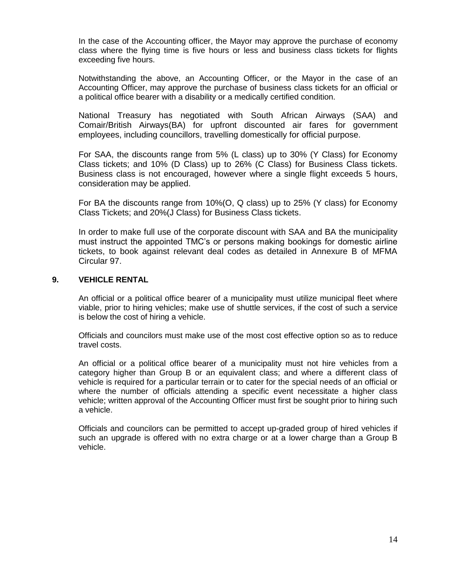In the case of the Accounting officer, the Mayor may approve the purchase of economy class where the flying time is five hours or less and business class tickets for flights exceeding five hours.

Notwithstanding the above, an Accounting Officer, or the Mayor in the case of an Accounting Officer, may approve the purchase of business class tickets for an official or a political office bearer with a disability or a medically certified condition.

National Treasury has negotiated with South African Airways (SAA) and Comair/British Airways(BA) for upfront discounted air fares for government employees, including councillors, travelling domestically for official purpose.

For SAA, the discounts range from 5% (L class) up to 30% (Y Class) for Economy Class tickets; and 10% (D Class) up to 26% (C Class) for Business Class tickets. Business class is not encouraged, however where a single flight exceeds 5 hours, consideration may be applied.

For BA the discounts range from 10%(O, Q class) up to 25% (Y class) for Economy Class Tickets; and 20%(J Class) for Business Class tickets.

In order to make full use of the corporate discount with SAA and BA the municipality must instruct the appointed TMC's or persons making bookings for domestic airline tickets, to book against relevant deal codes as detailed in Annexure B of MFMA Circular 97.

#### **9. VEHICLE RENTAL**

An official or a political office bearer of a municipality must utilize municipal fleet where viable, prior to hiring vehicles; make use of shuttle services, if the cost of such a service is below the cost of hiring a vehicle.

Officials and councilors must make use of the most cost effective option so as to reduce travel costs.

An official or a political office bearer of a municipality must not hire vehicles from a category higher than Group B or an equivalent class; and where a different class of vehicle is required for a particular terrain or to cater for the special needs of an official or where the number of officials attending a specific event necessitate a higher class vehicle; written approval of the Accounting Officer must first be sought prior to hiring such a vehicle.

Officials and councilors can be permitted to accept up-graded group of hired vehicles if such an upgrade is offered with no extra charge or at a lower charge than a Group B vehicle.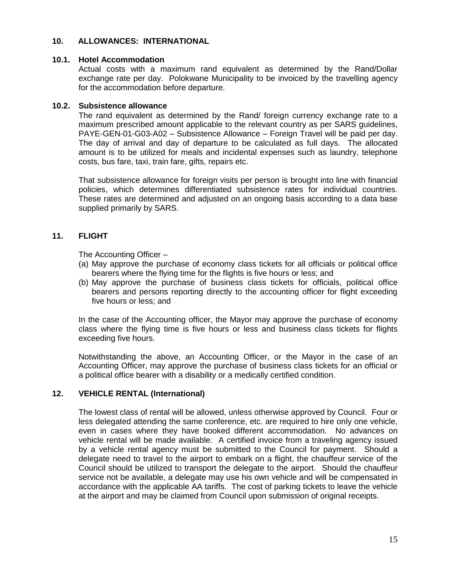#### **10. ALLOWANCES: INTERNATIONAL**

#### **10.1. Hotel Accommodation**

Actual costs with a maximum rand equivalent as determined by the Rand/Dollar exchange rate per day. Polokwane Municipality to be invoiced by the travelling agency for the accommodation before departure.

## **10.2. Subsistence allowance**

The rand equivalent as determined by the Rand/ foreign currency exchange rate to a maximum prescribed amount applicable to the relevant country as per SARS guidelines, PAYE-GEN-01-G03-A02 – Subsistence Allowance – Foreign Travel will be paid per day. The day of arrival and day of departure to be calculated as full days. The allocated amount is to be utilized for meals and incidental expenses such as laundry, telephone costs, bus fare, taxi, train fare, gifts, repairs etc.

That subsistence allowance for foreign visits per person is brought into line with financial policies, which determines differentiated subsistence rates for individual countries. These rates are determined and adjusted on an ongoing basis according to a data base supplied primarily by SARS.

## **11. FLIGHT**

The Accounting Officer –

- (a) May approve the purchase of economy class tickets for all officials or political office bearers where the flying time for the flights is five hours or less; and
- (b) May approve the purchase of business class tickets for officials, political office bearers and persons reporting directly to the accounting officer for flight exceeding five hours or less; and

In the case of the Accounting officer, the Mayor may approve the purchase of economy class where the flying time is five hours or less and business class tickets for flights exceeding five hours.

Notwithstanding the above, an Accounting Officer, or the Mayor in the case of an Accounting Officer, may approve the purchase of business class tickets for an official or a political office bearer with a disability or a medically certified condition.

## **12. VEHICLE RENTAL (International)**

The lowest class of rental will be allowed, unless otherwise approved by Council. Four or less delegated attending the same conference, etc. are required to hire only one vehicle, even in cases where they have booked different accommodation. No advances on vehicle rental will be made available. A certified invoice from a traveling agency issued by a vehicle rental agency must be submitted to the Council for payment. Should a delegate need to travel to the airport to embark on a flight, the chauffeur service of the Council should be utilized to transport the delegate to the airport. Should the chauffeur service not be available, a delegate may use his own vehicle and will be compensated in accordance with the applicable AA tariffs. The cost of parking tickets to leave the vehicle at the airport and may be claimed from Council upon submission of original receipts.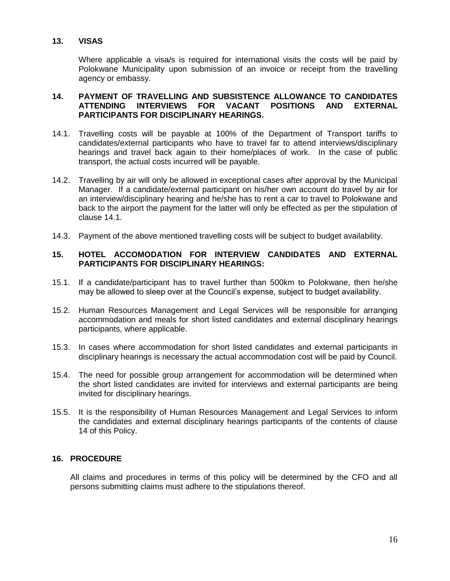## **13. VISAS**

Where applicable a visa/s is required for international visits the costs will be paid by Polokwane Municipality upon submission of an invoice or receipt from the travelling agency or embassy.

## **14. PAYMENT OF TRAVELLING AND SUBSISTENCE ALLOWANCE TO CANDIDATES ATTENDING INTERVIEWS FOR VACANT POSITIONS AND EXTERNAL PARTICIPANTS FOR DISCIPLINARY HEARINGS.**

- 14.1. Travelling costs will be payable at 100% of the Department of Transport tariffs to candidates/external participants who have to travel far to attend interviews/disciplinary hearings and travel back again to their home/places of work. In the case of public transport, the actual costs incurred will be payable.
- 14.2. Travelling by air will only be allowed in exceptional cases after approval by the Municipal Manager. If a candidate/external participant on his/her own account do travel by air for an interview/disciplinary hearing and he/she has to rent a car to travel to Polokwane and back to the airport the payment for the latter will only be effected as per the stipulation of clause 14.1.
- 14.3. Payment of the above mentioned travelling costs will be subject to budget availability.

## **15. HOTEL ACCOMODATION FOR INTERVIEW CANDIDATES AND EXTERNAL PARTICIPANTS FOR DISCIPLINARY HEARINGS:**

- 15.1. If a candidate/participant has to travel further than 500km to Polokwane, then he/she may be allowed to sleep over at the Council's expense, subject to budget availability.
- 15.2. Human Resources Management and Legal Services will be responsible for arranging accommodation and meals for short listed candidates and external disciplinary hearings participants, where applicable.
- 15.3. In cases where accommodation for short listed candidates and external participants in disciplinary hearings is necessary the actual accommodation cost will be paid by Council.
- 15.4. The need for possible group arrangement for accommodation will be determined when the short listed candidates are invited for interviews and external participants are being invited for disciplinary hearings.
- 15.5. It is the responsibility of Human Resources Management and Legal Services to inform the candidates and external disciplinary hearings participants of the contents of clause 14 of this Policy.

## **16. PROCEDURE**

All claims and procedures in terms of this policy will be determined by the CFO and all persons submitting claims must adhere to the stipulations thereof.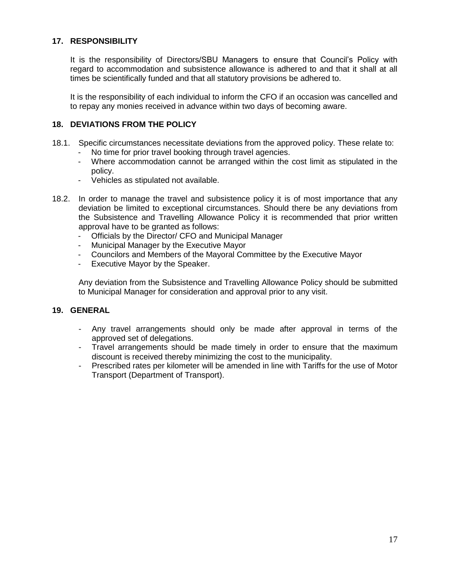## **17. RESPONSIBILITY**

It is the responsibility of Directors/SBU Managers to ensure that Council's Policy with regard to accommodation and subsistence allowance is adhered to and that it shall at all times be scientifically funded and that all statutory provisions be adhered to.

It is the responsibility of each individual to inform the CFO if an occasion was cancelled and to repay any monies received in advance within two days of becoming aware.

## **18. DEVIATIONS FROM THE POLICY**

- 18.1. Specific circumstances necessitate deviations from the approved policy. These relate to:
	- No time for prior travel booking through travel agencies.
	- Where accommodation cannot be arranged within the cost limit as stipulated in the policy.
	- Vehicles as stipulated not available.
- 18.2. In order to manage the travel and subsistence policy it is of most importance that any deviation be limited to exceptional circumstances. Should there be any deviations from the Subsistence and Travelling Allowance Policy it is recommended that prior written approval have to be granted as follows:
	- Officials by the Director/ CFO and Municipal Manager
	- Municipal Manager by the Executive Mayor
	- Councilors and Members of the Mayoral Committee by the Executive Mayor
	- Executive Mayor by the Speaker.

Any deviation from the Subsistence and Travelling Allowance Policy should be submitted to Municipal Manager for consideration and approval prior to any visit.

#### **19. GENERAL**

- Any travel arrangements should only be made after approval in terms of the approved set of delegations.
- Travel arrangements should be made timely in order to ensure that the maximum discount is received thereby minimizing the cost to the municipality.
- Prescribed rates per kilometer will be amended in line with Tariffs for the use of Motor Transport (Department of Transport).